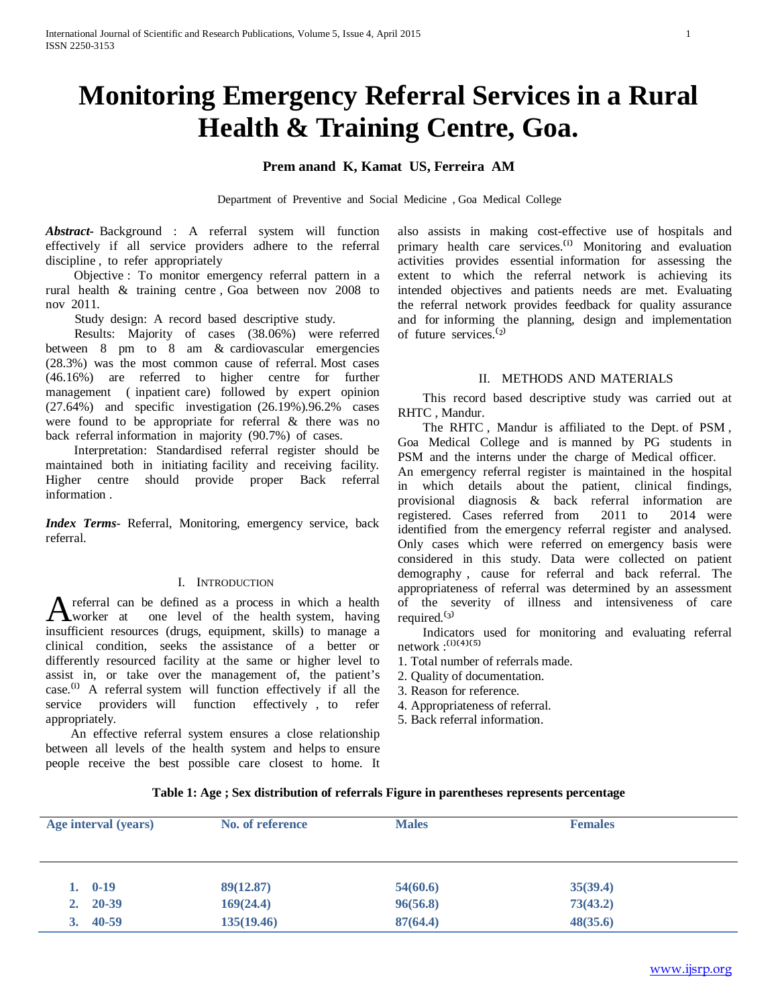# **Monitoring Emergency Referral Services in a Rural Health & Training Centre, Goa.**

# **Prem anand K, Kamat US, Ferreira AM**

Department of Preventive and Social Medicine , Goa Medical College

*Abstract***-** Background : A referral system will function effectively if all service providers adhere to the referral discipline , to refer appropriately

 Objective : To monitor emergency referral pattern in a rural health & training centre , Goa between nov 2008 to nov 2011.

Study design: A record based descriptive study.

 Results: Majority of cases (38.06%) were referred between 8 pm to 8 am & cardiovascular emergencies (28.3%) was the most common cause of referral. Most cases (46.16%) are referred to higher centre for further management ( inpatient care) followed by expert opinion (27.64%) and specific investigation (26.19%).96.2% cases were found to be appropriate for referral & there was no back referral information in majority (90.7%) of cases.

 Interpretation: Standardised referral register should be maintained both in initiating facility and receiving facility. Higher centre should provide proper Back referral information .

*Index Terms*- Referral, Monitoring, emergency service, back referral.

#### I. INTRODUCTION

referral can be defined as a process in which a health A referral can be defined as a process in which a health<br>worker at one level of the health system, having insufficient resources (drugs, equipment, skills) to manage a clinical condition, seeks the assistance of a better or differently resourced facility at the same or higher level to assist in, or take over the management of, the patient's case.<sup>(i)</sup> A referral system will function effectively if all the service providers will function effectively , to refer appropriately.

 An effective referral system ensures a close relationship between all levels of the health system and helps to ensure people receive the best possible care closest to home. It also assists in making cost-effective use of hospitals and primary health care services.<sup>(i)</sup> Monitoring and evaluation activities provides essential information for assessing the extent to which the referral network is achieving its intended objectives and patients needs are met. Evaluating the referral network provides feedback for quality assurance and for informing the planning, design and implementation of future services.<sup>(2)</sup>

#### II. METHODS AND MATERIALS

 This record based descriptive study was carried out at RHTC , Mandur.

 The RHTC , Mandur is affiliated to the Dept. of PSM , Goa Medical College and is manned by PG students in PSM and the interns under the charge of Medical officer. An emergency referral register is maintained in the hospital in which details about the patient, clinical findings, provisional diagnosis & back referral information are registered. Cases referred from 2011 to 2014 were identified from the emergency referral register and analysed. Only cases which were referred on emergency basis were considered in this study. Data were collected on patient demography , cause for referral and back referral. The appropriateness of referral was determined by an assessment of the severity of illness and intensiveness of care required.<sup>(3)</sup>

 Indicators used for monitoring and evaluating referral  $network$ : $^{(i)(4)(5)}$ 

- 1. Total number of referrals made.
- 2. Quality of documentation.
- 3. Reason for reference.
- 4. Appropriateness of referral.
- 5. Back referral information.

| Table 1: Age ; Sex distribution of referrals Figure in parentheses represents percentage |  |  |
|------------------------------------------------------------------------------------------|--|--|
|                                                                                          |  |  |

| Age interval (years) | No. of reference | <b>Males</b> | <b>Females</b> |  |
|----------------------|------------------|--------------|----------------|--|
|                      |                  |              |                |  |
| $1. 0-19$            | 89(12.87)        | 54(60.6)     | 35(39.4)       |  |
| $2. \quad 20-39$     | 169(24.4)        | 96(56.8)     | 73(43.2)       |  |
| $3.40 - 59$          | 135(19.46)       | 87(64.4)     | 48(35.6)       |  |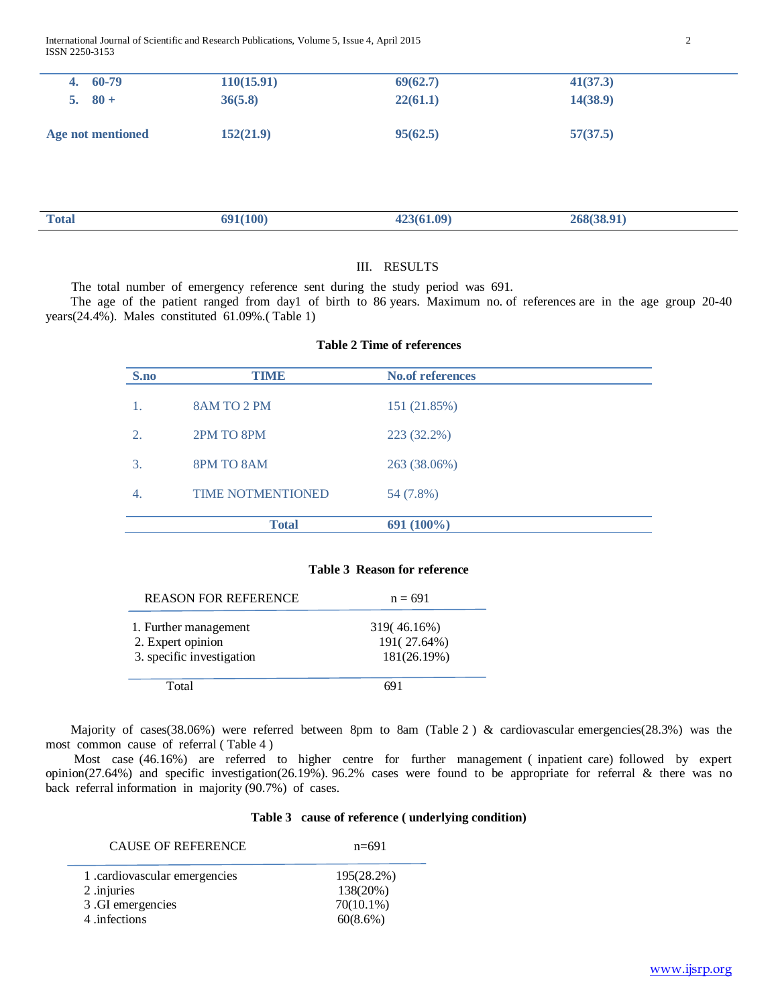International Journal of Scientific and Research Publications, Volume 5, Issue 4, April 2015 2 ISSN 2250-3153

| $4.60-79$         | 110(15.91) | 69(62.7) | 41(37.3) |
|-------------------|------------|----------|----------|
| 5. $80+$          | 36(5.8)    | 22(61.1) | 14(38.9) |
| Age not mentioned | 152(21.9)  | 95(62.5) | 57(37.5) |

| <b>Total</b> | 100<br>JJ1(100) | . ne<br> | . JO. ZJ<br>$-0.05$ ( $-0.00$ ) |  |
|--------------|-----------------|----------|---------------------------------|--|
|              |                 |          |                                 |  |

# III. RESULTS

The total number of emergency reference sent during the study period was 691.

 The age of the patient ranged from day1 of birth to 86 years. Maximum no. of references are in the age group 20-40 years(24.4%). Males constituted 61.09%.( Table 1)

## **Table 2 Time of references**

| S.no | <b>TIME</b>              | <b>No.of references</b> |
|------|--------------------------|-------------------------|
|      | 8AM TO 2 PM              | 151 (21.85%)            |
|      | 2PM TO 8PM               | 223 (32.2%)             |
| 3.   | 8PM TO 8AM               | 263 (38.06%)            |
| 4.   | <b>TIME NOTMENTIONED</b> | 54 (7.8%)               |
|      | <b>Total</b>             | 691 (100%)              |

#### **Table 3 Reason for reference**

| 1. Further management     | 319(46.16%) |
|---------------------------|-------------|
|                           |             |
| 2. Expert opinion         | 191(27.64%) |
| 3. specific investigation | 181(26.19%) |

Majority of cases(38.06%) were referred between 8pm to 8am (Table 2) & cardiovascular emergencies(28.3%) was the most common cause of referral ( Table 4 )

 Most case (46.16%) are referred to higher centre for further management ( inpatient care) followed by expert opinion(27.64%) and specific investigation(26.19%). 96.2% cases were found to be appropriate for referral & there was no back referral information in majority (90.7%) of cases.

## **Table 3 cause of reference ( underlying condition)**

| <b>CAUSE OF REFERENCE</b>     | $n = 691$    |
|-------------------------------|--------------|
| 1. cardiovascular emergencies | 195(28.2%)   |
| 2 .injuries                   | 138(20%)     |
| 3 .GI emergencies             | $70(10.1\%)$ |
| 4 .infections                 | 60(8.6%)     |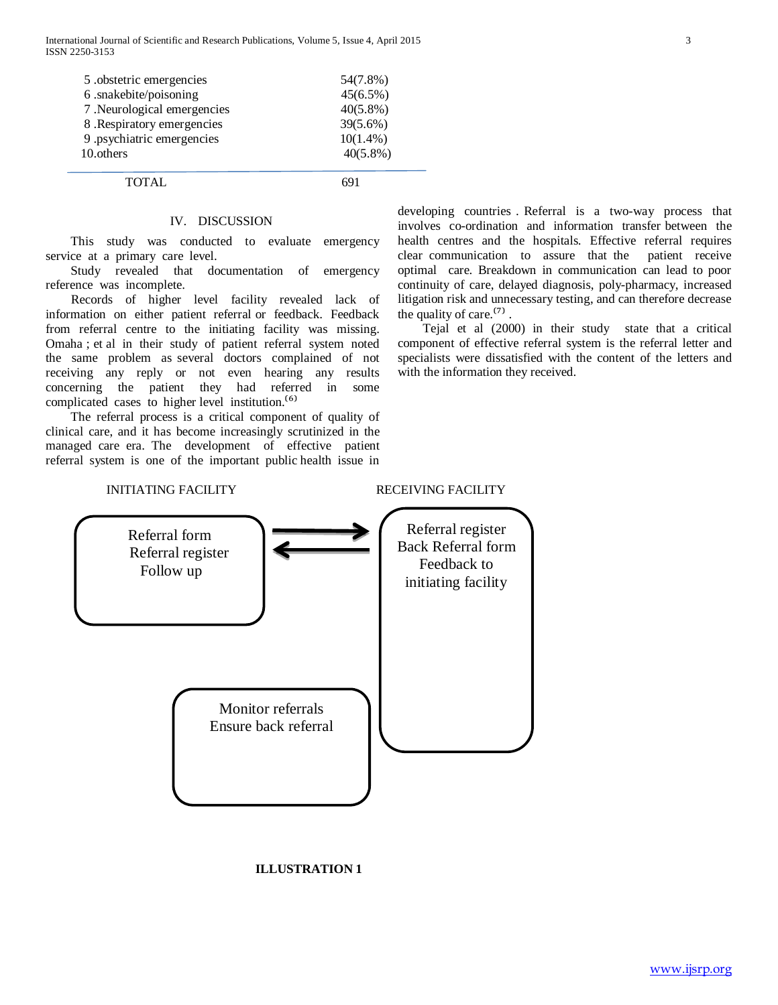| 5 .obstetric emergencies    | 54(7.8%)    |
|-----------------------------|-------------|
| 6 .snakebite/poisoning      | $45(6.5\%)$ |
| 7. Neurological emergencies | $40(5.8\%)$ |
| 8. Respiratory emergencies  | 39(5.6%)    |
| 9 .psychiatric emergencies  | $10(1.4\%)$ |
| 10.others                   | $40(5.8\%)$ |
|                             |             |

TOTAL 691

#### IV. DISCUSSION

 This study was conducted to evaluate emergency service at a primary care level.

 Study revealed that documentation of emergency reference was incomplete.

 Records of higher level facility revealed lack of information on either patient referral or feedback. Feedback from referral centre to the initiating facility was missing. Omaha ; et al in their study of patient referral system noted the same problem as several doctors complained of not receiving any reply or not even hearing any results concerning the patient they had referred in some complicated cases to higher level institution.<sup> $(6)$ </sup>

 The referral process is a critical component of quality of clinical care, and it has become increasingly scrutinized in the managed care era. The development of effective patient referral system is one of the important public health issue in developing countries . Referral is a two-way process that involves co-ordination and information transfer between the health centres and the hospitals. Effective referral requires clear communication to assure that the patient receive optimal care. Breakdown in communication can lead to poor continuity of care, delayed diagnosis, poly-pharmacy, increased litigation risk and unnecessary testing, and can therefore decrease the quality of care. $^{(7)}$ .

 Tejal et al (2000) in their study state that a critical component of effective referral system is the referral letter and specialists were dissatisfied with the content of the letters and with the information they received.

# INITIATING FACILITY RECEIVING FACILITY



# **ILLUSTRATION 1**